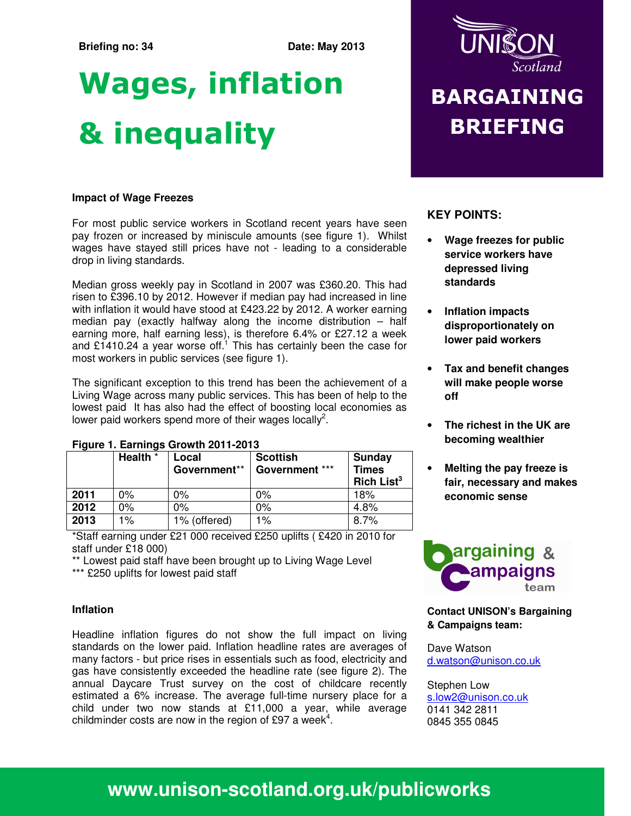### **Briefing no: 34** Date: May 2013

# Wages, inflation & inequality

### **Impact of Wage Freezes**

For most public service workers in Scotland recent years have seen pay frozen or increased by miniscule amounts (see figure 1). Whilst wages have stayed still prices have not - leading to a considerable drop in living standards.

Median gross weekly pay in Scotland in 2007 was £360.20. This had risen to £396.10 by 2012. However if median pay had increased in line with inflation it would have stood at £423.22 by 2012. A worker earning median pay (exactly halfway along the income distribution – half earning more, half earning less), is therefore 6.4% or £27.12 a week and £1410.24 a year worse off.<sup>1</sup> This has certainly been the case for most workers in public services (see figure 1).

The significant exception to this trend has been the achievement of a Living Wage across many public services. This has been of help to the lowest paid It has also had the effect of boosting local economies as lower paid workers spend more of their wages locally<sup>2</sup>.

|      | Health * | Local<br>Government** | <b>Scottish</b><br>Government *** | <b>Sunday</b><br><b>Times</b><br>Rich List <sup>3</sup> |  |  |  |
|------|----------|-----------------------|-----------------------------------|---------------------------------------------------------|--|--|--|
| 2011 | $0\%$    | 0%                    | $0\%$                             | 18%                                                     |  |  |  |
| 2012 | $0\%$    | $0\%$                 | $0\%$                             | 4.8%                                                    |  |  |  |
| 2013 | 1%       | 1% (offered)          | $1\%$                             | 8.7%                                                    |  |  |  |

### **Figure 1. Earnings Growth 2011-2013**

\*Staff earning under £21 000 received £250 uplifts ( £420 in 2010 for staff under £18 000)

\*\* Lowest paid staff have been brought up to Living Wage Level \*\*\* £250 uplifts for lowest paid staff

### **Inflation**

Headline inflation figures do not show the full impact on living standards on the lower paid. Inflation headline rates are averages of many factors - but price rises in essentials such as food, electricity and gas have consistently exceeded the headline rate (see figure 2). The annual Daycare Trust survey on the cost of childcare recently estimated a 6% increase. The average full-time nursery place for a child under two now stands at £11,000 a year, while average childminder costs are now in the region of £97 a week<sup>4</sup>.



## **BARGAINING BRIEFING**

### **KEY POINTS:**

- **Wage freezes for public service workers have depressed living standards**
- **Inflation impacts disproportionately on lower paid workers**
- **Tax and benefit changes will make people worse off**
- **The richest in the UK are becoming wealthier**
- **Melting the pay freeze is fair, necessary and makes economic sense**



**Contact UNISON's Bargaining & Campaigns team:** 

Dave Watson d.watson@unison.co.uk

Stephen Low s.low2@unison.co.uk 0141 342 2811 0845 355 0845

### **www.unison-scotland.org.uk/publicworks**